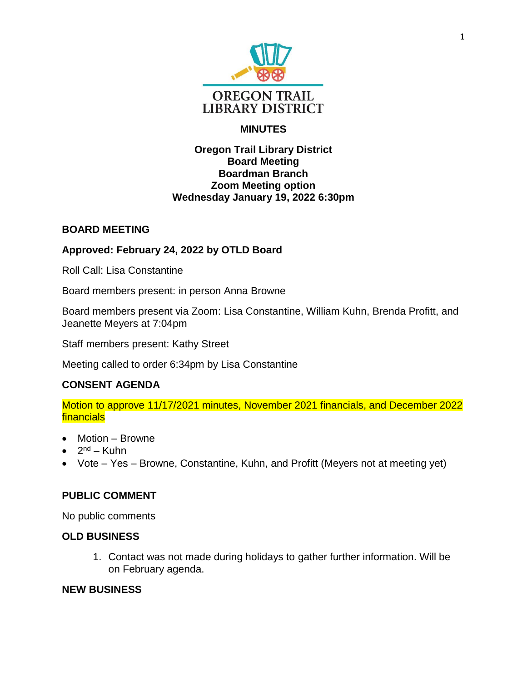

# **MINUTES**

### **Oregon Trail Library District Board Meeting Boardman Branch Zoom Meeting option Wednesday January 19, 2022 6:30pm**

## **BOARD MEETING**

## **Approved: February 24, 2022 by OTLD Board**

Roll Call: Lisa Constantine

Board members present: in person Anna Browne

Board members present via Zoom: Lisa Constantine, William Kuhn, Brenda Profitt, and Jeanette Meyers at 7:04pm

Staff members present: Kathy Street

Meeting called to order 6:34pm by Lisa Constantine

## **CONSENT AGENDA**

Motion to approve 11/17/2021 minutes, November 2021 financials, and December 2022 financials

- Motion Browne
- $\bullet$  2<sup>nd</sup> Kuhn
- Vote Yes Browne, Constantine, Kuhn, and Profitt (Meyers not at meeting yet)

### **PUBLIC COMMENT**

No public comments

### **OLD BUSINESS**

1. Contact was not made during holidays to gather further information. Will be on February agenda.

#### **NEW BUSINESS**